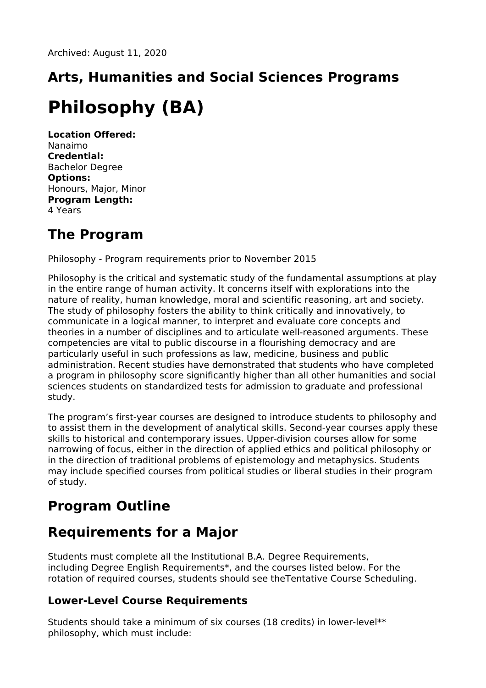# **Arts, Humanities and Social Sciences Programs**

## **Philosophy (BA)**

**Location Offered:** Nanaimo **Credential:** Bachelor Degree **Options:** Honours, Major, Minor **Program Length:** 4 Years

## **The Program**

Philosophy - Program requirements prior to November 2015

Philosophy is the critical and systematic study of the fundamental assumptions at play in the entire range of human activity. It concerns itself with explorations into the nature of reality, human knowledge, moral and scientific reasoning, art and society. The study of philosophy fosters the ability to think critically and innovatively, to communicate in a logical manner, to interpret and evaluate core concepts and theories in a number of disciplines and to articulate well-reasoned arguments. These competencies are vital to public discourse in a flourishing democracy and are particularly useful in such professions as law, medicine, business and public administration. Recent studies have demonstrated that students who have completed a program in philosophy score significantly higher than all other humanities and social sciences students on standardized tests for admission to graduate and professional study.

The program's first-year courses are designed to introduce students to philosophy and to assist them in the development of analytical skills. Second-year courses apply these skills to historical and contemporary issues. Upper-division courses allow for some narrowing of focus, either in the direction of applied ethics and political philosophy or in the direction of traditional problems of epistemology and metaphysics. Students may include specified courses from political studies or liberal studies in their program of study.

## **Program Outline**

## **Requirements for a Major**

Students must complete all the Institutional B.A. Degree Requirements, including Degree English Requirements\*, and the courses listed below. For the rotation of required courses, students should see theTentative Course Scheduling.

#### **Lower-Level Course Requirements**

Students should take a minimum of six courses (18 credits) in lower-level\*\* philosophy, which must include: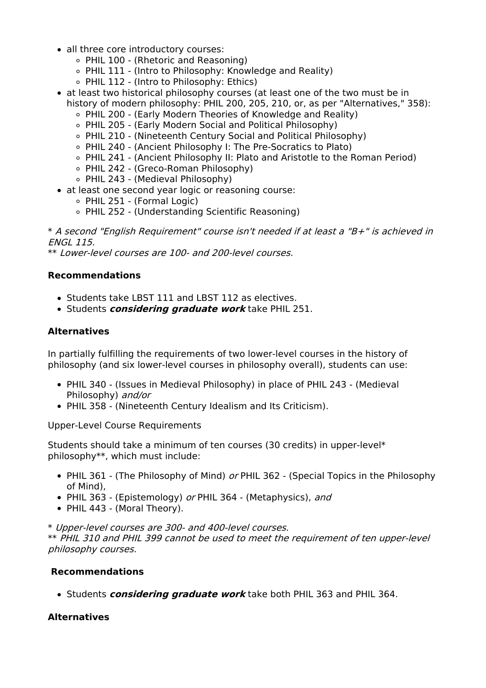- all three core introductory courses:
	- PHIL 100 (Rhetoric and Reasoning)
	- $\circ$  PHIL 111 (Intro to Philosophy: Knowledge and Reality)
	- PHIL 112 (Intro to Philosophy: Ethics)
- at least two historical philosophy courses (at least one of the two must be in history of modern philosophy: PHIL 200, 205, 210, or, as per "Alternatives," 358):
	- PHIL 200 (Early Modern Theories of Knowledge and Reality)
	- PHIL 205 (Early Modern Social and Political Philosophy)
	- PHIL 210 (Nineteenth Century Social and Political Philosophy)
	- PHIL 240 (Ancient Philosophy I: The Pre-Socratics to Plato)
	- PHIL 241 (Ancient Philosophy II: Plato and Aristotle to the Roman Period)
	- PHIL 242 (Greco-Roman Philosophy)
	- PHIL 243 (Medieval Philosophy)
- at least one second year logic or reasoning course:
	- PHIL 251 (Formal Logic)
	- PHIL 252 (Understanding Scientific Reasoning)

\* A second "English Requirement" course isn't needed if at least <sup>a</sup> "B+" is achieved in ENGL 115.

\*\* Lower-level courses are 100- and 200-level courses.

#### **Recommendations**

- Students take LBST 111 and LBST 112 as electives.
- Students **considering graduate work** take PHIL 251.

#### **Alternatives**

In partially fulfilling the requirements of two lower-level courses in the history of philosophy (and six lower-level courses in philosophy overall), students can use:

- PHIL 340 (Issues in Medieval Philosophy) in place of PHIL 243 (Medieval Philosophy) and/or
- PHIL 358 (Nineteenth Century Idealism and Its Criticism).

Upper-Level Course Requirements

Students should take a minimum of ten courses (30 credits) in upper-level\* philosophy\*\*, which must include:

- PHIL 361 (The Philosophy of Mind) or PHIL 362 (Special Topics in the Philosophy of Mind),
- PHIL 363 (Epistemology) or PHIL 364 (Metaphysics), and
- PHIL 443 (Moral Theory).

\* Upper-level courses are 300- and 400-level courses. \*\* PHIL 310 and PHIL 399 cannot be used to meet the requirement of ten upper-level philosophy courses.

#### **Recommendations**

Students **considering graduate work** take both PHIL 363 and PHIL 364.

#### **Alternatives**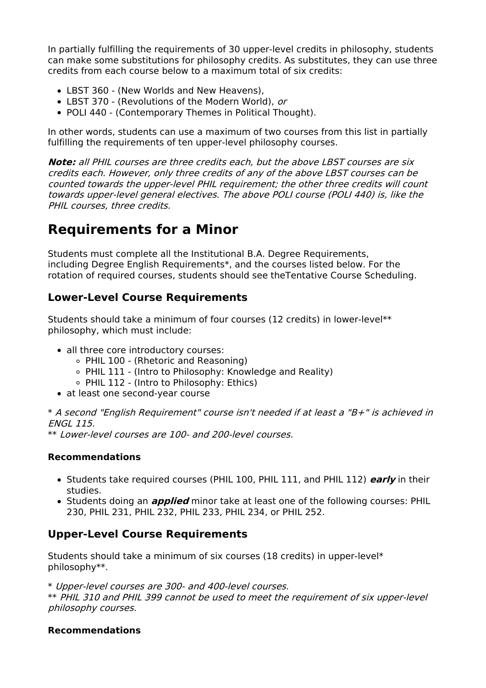In partially fulfilling the requirements of 30 upper-level credits in philosophy, students can make some substitutions for philosophy credits. As substitutes, they can use three credits from each course below to a maximum total of six credits:

- LBST 360 (New Worlds and New Heavens),
- LBST 370 (Revolutions of the Modern World), or
- POLI 440 (Contemporary Themes in Political Thought).

In other words, students can use a maximum of two courses from this list in partially fulfilling the requirements of ten upper-level philosophy courses.

**Note:** all PHIL courses are three credits each, but the above LBST courses are six credits each. However, only three credits of any of the above LBST courses can be counted towards the upper-level PHIL requirement; the other three credits will count towards upper-level general electives. The above POLI course (POLI 440) is, like the PHIL courses, three credits.

### **Requirements for a Minor**

Students must complete all the Institutional B.A. Degree Requirements, including Degree English Requirements\*, and the courses listed below. For the rotation of required courses, students should see theTentative Course Scheduling.

#### **Lower-Level Course Requirements**

Students should take a minimum of four courses (12 credits) in lower-level\*\* philosophy, which must include:

- all three core introductory courses:
	- PHIL 100 (Rhetoric and Reasoning)
	- $\circ$  PHIL 111 (Intro to Philosophy: Knowledge and Reality)
	- PHIL 112 (Intro to Philosophy: Ethics)
- at least one second-vear course

\* A second "English Requirement" course isn't needed if at least <sup>a</sup> "B+" is achieved in ENGL 115.

\*\* Lower-level courses are 100- and 200-level courses.

#### **Recommendations**

- Students take required courses (PHIL 100, PHIL 111, and PHIL 112) **early** in their studies.
- Students doing an **applied** minor take at least one of the following courses: PHIL 230, PHIL 231, PHIL 232, PHIL 233, PHIL 234, or PHIL 252.

#### **Upper-Level Course Requirements**

Students should take a minimum of six courses (18 credits) in upper-level\* philosophy\*\*.

\* Upper-level courses are 300- and 400-level courses.

\*\* PHIL 310 and PHIL 399 cannot be used to meet the requirement of six upper-level philosophy courses.

#### **Recommendations**